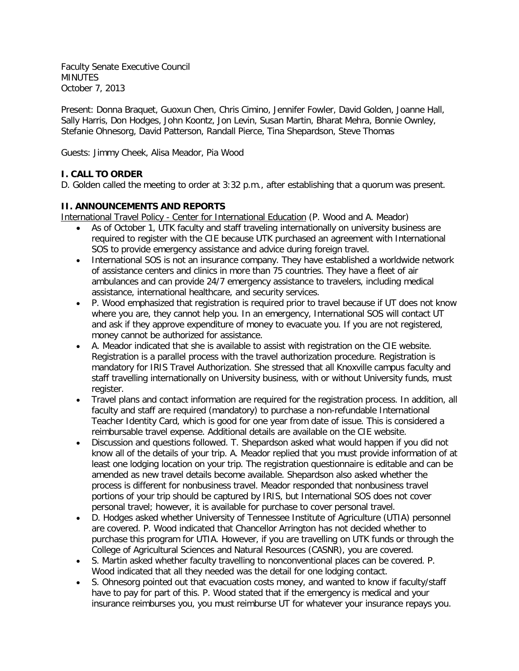Faculty Senate Executive Council MINUTES October 7, 2013

Present: Donna Braquet, Guoxun Chen, Chris Cimino, Jennifer Fowler, David Golden, Joanne Hall, Sally Harris, Don Hodges, John Koontz, Jon Levin, Susan Martin, Bharat Mehra, Bonnie Ownley, Stefanie Ohnesorg, David Patterson, Randall Pierce, Tina Shepardson, Steve Thomas

Guests: Jimmy Cheek, Alisa Meador, Pia Wood

# **I. CALL TO ORDER**

D. Golden called the meeting to order at 3:32 p.m., after establishing that a quorum was present.

## **II. ANNOUNCEMENTS AND REPORTS**

International Travel Policy - Center for International Education (P. Wood and A. Meador)

- As of October 1, UTK faculty and staff traveling internationally on university business are required to register with the CIE because UTK purchased an agreement with International SOS to provide emergency assistance and advice during foreign travel.
- International SOS is not an insurance company. They have established a worldwide network of assistance centers and clinics in more than 75 countries. They have a fleet of air ambulances and can provide 24/7 emergency assistance to travelers, including medical assistance, international healthcare, and security services.
- P. Wood emphasized that registration is required prior to travel because if UT does not know where you are, they cannot help you. In an emergency, International SOS will contact UT and ask if they approve expenditure of money to evacuate you. If you are not registered, money cannot be authorized for assistance.
- A. Meador indicated that she is available to assist with registration on the CIE website. Registration is a parallel process with the travel authorization procedure. Registration is mandatory for IRIS Travel Authorization. She stressed that all Knoxville campus faculty and staff travelling internationally on University business, with or without University funds, must register.
- Travel plans and contact information are required for the registration process. In addition, all faculty and staff are required (mandatory) to purchase a non-refundable International Teacher Identity Card, which is good for one year from date of issue. This is considered a reimbursable travel expense. Additional details are available on the CIE website.
- Discussion and questions followed. T. Shepardson asked what would happen if you did not know all of the details of your trip. A. Meador replied that you must provide information of at least one lodging location on your trip. The registration questionnaire is editable and can be amended as new travel details become available. Shepardson also asked whether the process is different for nonbusiness travel. Meador responded that nonbusiness travel portions of your trip should be captured by IRIS, but International SOS does not cover personal travel; however, it is available for purchase to cover personal travel.
- D. Hodges asked whether University of Tennessee Institute of Agriculture (UTIA) personnel are covered. P. Wood indicated that Chancellor Arrington has not decided whether to purchase this program for UTIA. However, if you are travelling on UTK funds or through the College of Agricultural Sciences and Natural Resources (CASNR), you are covered.
- S. Martin asked whether faculty travelling to nonconventional places can be covered. P. Wood indicated that all they needed was the detail for one lodging contact.
- S. Ohnesorg pointed out that evacuation costs money, and wanted to know if faculty/staff have to pay for part of this. P. Wood stated that if the emergency is medical and your insurance reimburses you, you must reimburse UT for whatever your insurance repays you.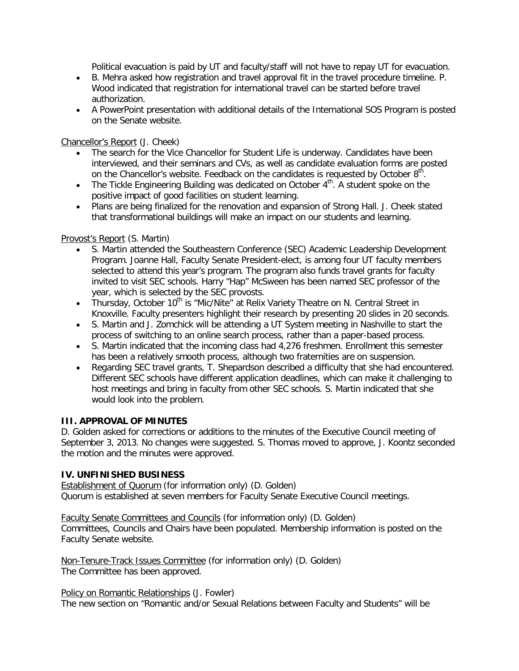Political evacuation is paid by UT and faculty/staff will not have to repay UT for evacuation.

- B. Mehra asked how registration and travel approval fit in the travel procedure timeline. P. Wood indicated that registration for international travel can be started before travel authorization.
- A PowerPoint presentation with additional details of the International SOS Program is posted on the Senate website.

### Chancellor's Report (J. Cheek)

- The search for the Vice Chancellor for Student Life is underway. Candidates have been interviewed, and their seminars and CVs, as well as candidate evaluation forms are posted on the Chancellor's website. Feedback on the candidates is requested by October  $8<sup>th</sup>$ .
- The Tickle Engineering Building was dedicated on October  $4<sup>th</sup>$ . A student spoke on the positive impact of good facilities on student learning.
- Plans are being finalized for the renovation and expansion of Strong Hall. J. Cheek stated that transformational buildings will make an impact on our students and learning.

### Provost's Report (S. Martin)

- S. Martin attended the Southeastern Conference (SEC) Academic Leadership Development Program. Joanne Hall, Faculty Senate President-elect, is among four UT faculty members selected to attend this year's program. The program also funds travel grants for faculty invited to visit SEC schools. Harry "Hap" McSween has been named SEC professor of the year, which is selected by the SEC provosts.
- Thursday, October 10<sup>th</sup> is "Mic/Nite" at Relix Variety Theatre on N. Central Street in Knoxville. Faculty presenters highlight their research by presenting 20 slides in 20 seconds.
- S. Martin and J. Zomchick will be attending a UT System meeting in Nashville to start the process of switching to an online search process, rather than a paper-based process.
- S. Martin indicated that the incoming class had 4,276 freshmen. Enrollment this semester has been a relatively smooth process, although two fraternities are on suspension.
- Regarding SEC travel grants, T. Shepardson described a difficulty that she had encountered. Different SEC schools have different application deadlines, which can make it challenging to host meetings and bring in faculty from other SEC schools. S. Martin indicated that she would look into the problem.

## **III. APPROVAL OF MINUTES**

D. Golden asked for corrections or additions to the minutes of the Executive Council meeting of September 3, 2013. No changes were suggested. S. Thomas moved to approve, J. Koontz seconded the motion and the minutes were approved.

#### **IV. UNFINISHED BUSINESS**

Establishment of Quorum (for information only) (D. Golden) Quorum is established at seven members for Faculty Senate Executive Council meetings.

Faculty Senate Committees and Councils (for information only) (D. Golden) Committees, Councils and Chairs have been populated. Membership information is posted on the Faculty Senate website.

Non-Tenure-Track Issues Committee (for information only) (D. Golden) The Committee has been approved.

Policy on Romantic Relationships (J. Fowler)

The new section on "Romantic and/or Sexual Relations between Faculty and Students" will be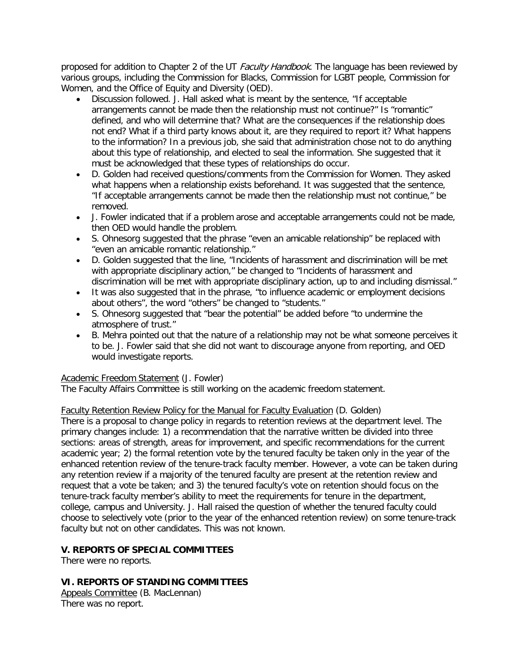proposed for addition to Chapter 2 of the UT Faculty Handbook. The language has been reviewed by various groups, including the Commission for Blacks, Commission for LGBT people, Commission for Women, and the Office of Equity and Diversity (OED).

- Discussion followed. J. Hall asked what is meant by the sentence, "If acceptable arrangements cannot be made then the relationship must not continue?" Is "romantic" defined, and who will determine that? What are the consequences if the relationship does not end? What if a third party knows about it, are they required to report it? What happens to the information? In a previous job, she said that administration chose not to do anything about this type of relationship, and elected to seal the information. She suggested that it must be acknowledged that these types of relationships do occur.
- D. Golden had received questions/comments from the Commission for Women. They asked what happens when a relationship exists beforehand. It was suggested that the sentence, "If acceptable arrangements cannot be made then the relationship must not continue," be removed.
- J. Fowler indicated that if a problem arose and acceptable arrangements could not be made, then OED would handle the problem.
- S. Ohnesorg suggested that the phrase "even an amicable relationship" be replaced with "even an amicable romantic relationship."
- D. Golden suggested that the line, "Incidents of harassment and discrimination will be met with appropriate disciplinary action," be changed to "Incidents of harassment and discrimination will be met with appropriate disciplinary action, up to and including dismissal."
- It was also suggested that in the phrase, "to influence academic or employment decisions about others", the word "others" be changed to "students."
- S. Ohnesorg suggested that "bear the potential" be added before "to undermine the atmosphere of trust."
- B. Mehra pointed out that the nature of a relationship may not be what someone perceives it to be. J. Fowler said that she did not want to discourage anyone from reporting, and OED would investigate reports.

## Academic Freedom Statement (J. Fowler)

The Faculty Affairs Committee is still working on the academic freedom statement.

### Faculty Retention Review Policy for the Manual for Faculty Evaluation (D. Golden)

There is a proposal to change policy in regards to retention reviews at the department level. The primary changes include: 1) a recommendation that the narrative written be divided into three sections: areas of strength, areas for improvement, and specific recommendations for the current academic year; 2) the formal retention vote by the tenured faculty be taken only in the year of the enhanced retention review of the tenure-track faculty member. However, a vote can be taken during any retention review if a majority of the tenured faculty are present at the retention review and request that a vote be taken; and 3) the tenured faculty's vote on retention should focus on the tenure-track faculty member's ability to meet the requirements for tenure in the department, college, campus and University. J. Hall raised the question of whether the tenured faculty could choose to selectively vote (prior to the year of the enhanced retention review) on some tenure-track faculty but not on other candidates. This was not known.

## **V. REPORTS OF SPECIAL COMMITTEES**

There were no reports.

## **VI. REPORTS OF STANDING COMMITTEES**

Appeals Committee (B. MacLennan) There was no report.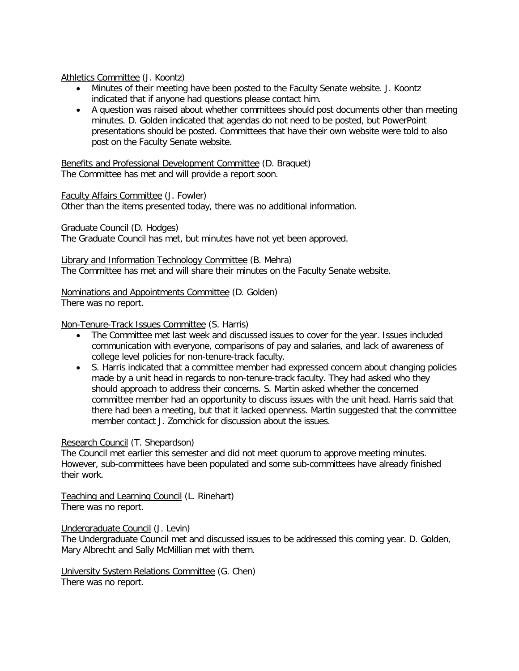#### Athletics Committee (J. Koontz)

- Minutes of their meeting have been posted to the Faculty Senate website. J. Koontz indicated that if anyone had questions please contact him.
- A question was raised about whether committees should post documents other than meeting minutes. D. Golden indicated that agendas do not need to be posted, but PowerPoint presentations should be posted. Committees that have their own website were told to also post on the Faculty Senate website.

Benefits and Professional Development Committee (D. Braquet) The Committee has met and will provide a report soon.

#### Faculty Affairs Committee (J. Fowler)

Other than the items presented today, there was no additional information.

Graduate Council (D. Hodges)

The Graduate Council has met, but minutes have not yet been approved.

Library and Information Technology Committee (B. Mehra) The Committee has met and will share their minutes on the Faculty Senate website.

Nominations and Appointments Committee (D. Golden) There was no report.

#### Non-Tenure-Track Issues Committee (S. Harris)

- The Committee met last week and discussed issues to cover for the year. Issues included communication with everyone, comparisons of pay and salaries, and lack of awareness of college level policies for non-tenure-track faculty.
- S. Harris indicated that a committee member had expressed concern about changing policies made by a unit head in regards to non-tenure-track faculty. They had asked who they should approach to address their concerns. S. Martin asked whether the concerned committee member had an opportunity to discuss issues with the unit head. Harris said that there had been a meeting, but that it lacked openness. Martin suggested that the committee member contact J. Zomchick for discussion about the issues.

#### Research Council (T. Shepardson)

The Council met earlier this semester and did not meet quorum to approve meeting minutes. However, sub-committees have been populated and some sub-committees have already finished their work.

Teaching and Learning Council (L. Rinehart) There was no report.

Undergraduate Council (J. Levin)

The Undergraduate Council met and discussed issues to be addressed this coming year. D. Golden, Mary Albrecht and Sally McMillian met with them.

University System Relations Committee (G. Chen) There was no report.